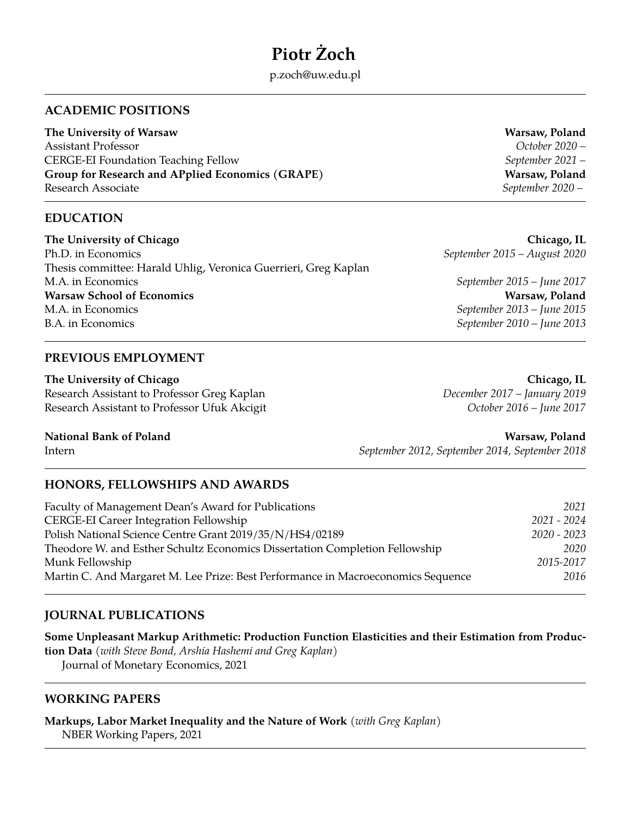# **Piotr Żoch**

p.zoch@uw.edu.pl

# **ACADEMIC POSITIONS**

**The University of Warsaw Warsaw, Poland** Assistant Professor *October 2020 –* CERGE-EI Foundation Teaching Fellow *September 2021 –* **Group for Research and APplied Economics (GRAPE) Warsaw, Poland** Research Associate *September 2020 –*

# **EDUCATION**

**The University of Chicago Chicago, IL** Ph.D. in Economics *September 2015 – August 2020* Thesis committee: Harald Uhlig, Veronica Guerrieri, Greg Kaplan M.A. in Economics *September 2015 – June 2017* **Warsaw School of Economics Warsaw, Poland** M.A. in Economics *September 2013 – June 2015* B.A. in Economics *September 2010 – June 2013*

## **PREVIOUS EMPLOYMENT**

**The University of Chicago Chicago, IL** Research Assistant to Professor Greg Kaplan *December 2017 – January 2019* Research Assistant to Professor Ufuk Akcigit *October 2016 – June 2017*

#### **National Bank of Poland Warsaw, Poland**

Intern *September 2012, September 2014, September 2018*

## **HONORS, FELLOWSHIPS AND AWARDS**

Faculty of Management Dean's Award for Publications *2021* CERGE-EI Career Integration Fellowship *2021 - 2024* Polish National Science Centre Grant 2019/35/N/HS4/02189 *2020 - 2023* Theodore W. and Esther Schultz Economics Dissertation Completion Fellowship *2020* Munk Fellowship *2015-2017* Martin C. And Margaret M. Lee Prize: Best Performance in Macroeconomics Sequence *2016*

# **JOURNAL PUBLICATIONS**

**Some Unpleasant Markup Arithmetic: Production Function Elasticities and their Estimation from Production Data** (*with Steve Bond, Arshia Hashemi and Greg Kaplan*) Journal of Monetary Economics, 2021

## **WORKING PAPERS**

**Markups, Labor Market Inequality and the Nature of Work** (*with Greg Kaplan*) NBER Working Papers, 2021